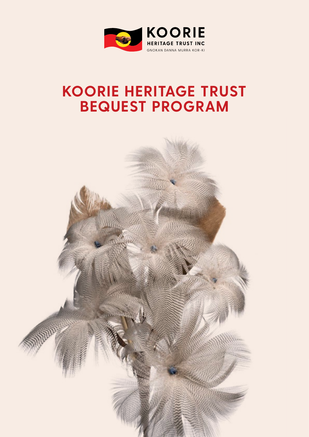

# **KOORIE HERITAGE TRUST BEQUEST PROGRAM**

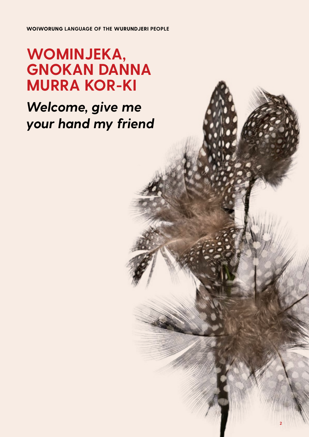**WOIWORUNG LANGUAGE OF THE WURUNDJERI PEOPLE**

# **WOMINJEKA, GNOKAN DANNA MURRA KOR-KI**

# *Welcome, give me your hand my friend*

**2**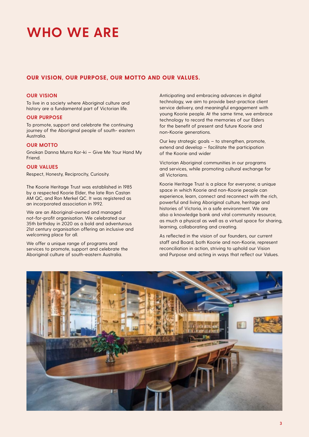# **WHO WE ARE**

# **OUR VISION, OUR PURPOSE, OUR MOTTO AND OUR VALUES.**

### **OUR VISION**

To live in a society where Aboriginal culture and history are a fundamental part of Victorian life.

### **OUR PURPOSE**

To promote, support and celebrate the continuing journey of the Aboriginal people of south- eastern Australia.

## **OUR MOTTO**

Gnokan Danna Murra Kor-ki — Give Me Your Hand My **Friend.** 

## **OUR VALUES**

Respect, Honesty, Reciprocity, Curiosity.

The Koorie Heritage Trust was established in 1985 by a respected Koorie Elder, the late Ron Castan AM QC, and Ron Merkel QC. It was registered as an incorporated association in 1992.

We are an Aboriginal-owned and managed not-for-profit organisation. We celebrated our 35th birthday in 2020 as a bold and adventurous 21st century organisation offering an inclusive and welcoming place for all.

We offer a unique range of programs and services to promote, support and celebrate the Aboriginal culture of south-eastern Australia.

Anticipating and embracing advances in digital technology, we aim to provide best-practice client service delivery, and meaningful engagement with young Koorie people. At the same time, we embrace technology to record the memories of our Elders for the benefit of present and future Koorie and non-Koorie generations.

Our key strategic goals – to strengthen, promote, extend and develop – facilitate the participation of the Koorie and wider

Victorian Aboriginal communities in our programs and services, while promoting cultural exchange for all Victorians.

Koorie Heritage Trust is a place for everyone; a unique space in which Koorie and non-Koorie people can experience, learn, connect and reconnect with the rich, powerful and living Aboriginal culture, heritage and histories of Victoria, in a safe environment. We are also a knowledge bank and vital community resource, as much a physical as well as a virtual space for sharing, learning, collaborating and creating.

As reflected in the vision of our founders, our current staff and Board, both Koorie and non-Koorie, represent reconciliation in action, striving to uphold our Vision and Purpose and acting in ways that reflect our Values.

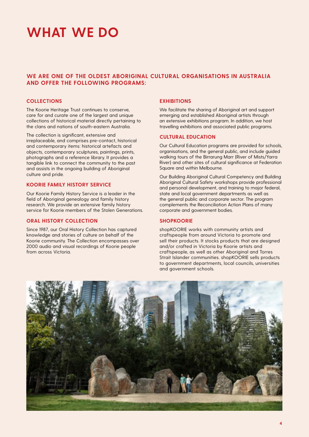# **WHAT WE DO**

# **WE ARE ONE OF THE OLDEST ABORIGINAL CULTURAL ORGANISATIONS IN AUSTRALIA AND OFFER THE FOLLOWING PROGRAMS:**

## **COLLECTIONS**

The Koorie Heritage Trust continues to conserve, care for and curate one of the largest and unique collections of historical material directly pertaining to the clans and nations of south-eastern Australia.

The collection is significant, extensive and irreplaceable, and comprises pre-contact, historical and contemporary items: historical artefacts and objects, contemporary sculptures, paintings, prints, photographs and a reference library. It provides a tangible link to connect the community to the past and assists in the ongoing building of Aboriginal culture and pride.

## **KOORIE FAMILY HISTORY SERVICE**

Our Koorie Family History Service is a leader in the field of Aboriginal genealogy and family history research. We provide an extensive family history service for Koorie members of the Stolen Generations.

## **ORAL HISTORY COLLECTION**

Since 1987, our Oral History Collection has captured knowledge and stories of culture on behalf of the Koorie community. The Collection encompasses over 2000 audio and visual recordings of Koorie people from across Victoria.

## **EXHIBITIONS**

We facilitate the sharing of Aboriginal art and support emerging and established Aboriginal artists through an extensive exhibitions program. In addition, we host travelling exhibitions and associated public programs.

### **CULTURAL EDUCATION**

Our Cultural Education programs are provided for schools, organisations, and the general public, and include guided walking tours of the Birrarung Marr (River of Mists/Yarra River) and other sites of cultural significance at Federation Square and within Melbourne.

Our Building Aboriginal Cultural Competency and Building Aboriginal Cultural Safety workshops provide professional and personal development, and training to major federal, state and local government departments as well as the general public and corporate sector. The program complements the Reconciliation Action Plans of many corporate and government bodies.

### **SHOPKOORIE**

shopKOORIE works with community artists and craftspeople from around Victoria to promote and sell their products. It stocks products that are designed and/or crafted in Victoria by Koorie artists and craftspeople, as well as other Aboriginal and Torres Strait Islander communities. shopKOORIE sells products to government departments, local councils, universities and government schools.

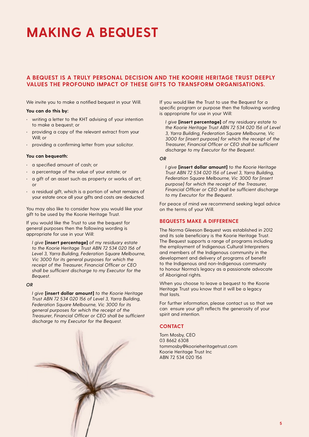# **MAKING A BEQUEST**

# **A BEQUEST IS A TRULY PERSONAL DECISION AND THE KOORIE HERITAGE TRUST DEEPLY VALUES THE PROFOUND IMPACT OF THESE GIFTS TO TRANSFORM ORGANISATIONS.**

We invite you to make a notified bequest in your Will.

### **You can do this by:**

- writing a letter to the KHT advising of your intention to make a bequest; or
- providing a copy of the relevant extract from your Will; or
- providing a confirming letter from your solicitor.

### **You can bequeath:**

- a specified amount of cash; or
- a percentage of the value of your estate; or
- a gift of an asset such as property or works of art; or
- a residual gift, which is a portion of what remains of your estate once all your gifts and costs are deducted.

You may also like to consider how you would like your gift to be used by the Koorie Heritage Trust.

If you would like the Trust to use the bequest for general purposes then the following wording is appropriate for use in your Will:

*I give* **[insert percentage]** *of my residuary estate to the Koorie Heritage Trust ABN 72 534 020 156 of Level 3, Yarra Building, Federation Square Melbourne, Vic 3000 for its general purposes for which the receipt of the Treasurer, Financial Officer or CEO shall be sufficient discharge to my Executor for the Bequest.*

### *OR*

*I give* **[insert dollar amount]** *to the Koorie Heritage Trust ABN 72 534 020 156 of Level 3, Yarra Building, Federation Square Melbourne, Vic 3000 for its general purposes for which the receipt of the Treasurer, Financial Officer or CEO shall be sufficient discharge to my Executor for the Bequest.*

If you would like the Trust to use the Bequest for a specific program or purpose then the following wording is appropriate for use in your Will:

*I give* **[insert percentage]** *of my residuary estate to the Koorie Heritage Trust ABN 72 534 020 156 of Level 3, Yarra Building, Federation Square Melbourne, Vic 3000 for [insert purpose] for which the receipt of the Treasurer, Financial Officer or CEO shall be sufficient discharge to my Executor for the Bequest.*

### *OR*

*I give* **[insert dollar amount]** *to the Koorie Heritage Trust ABN 72 534 020 156 of Level 3, Yarra Building, Federation Square Melbourne, Vic 3000 for [insert purpose] for which the receipt of the Treasurer, Financial Officer or CEO shall be sufficient discharge to my Executor for the Bequest.*

For peace of mind we recommend seeking legal advice on the terms of your Will.

### **BEQUESTS MAKE A DIFFERENCE**

The Norma Gleeson Bequest was established in 2012 and its sole beneficiary is the Koorie Heritage Trust. The Bequest supports a range of programs including the employment of Indigenous Cultural Interpreters and members of the Indigenous community in the development and delivery of programs of benefit to the Indigenous and non-Indigenous community to honour Norma's legacy as a passionate advocate of Aboriginal rights.

When you choose to leave a bequest to the Koorie Heritage Trust you know that it will be a legacy that lasts.

For further information, please contact us so that we can ensure your gift reflects the generosity of your spirit and intention.

### **CONTACT**

Tom Mosby, CEO 03 8662 6308 tommosby@koorieheritagetrust.com Koorie Heritage Trust Inc ABN 72 534 020 156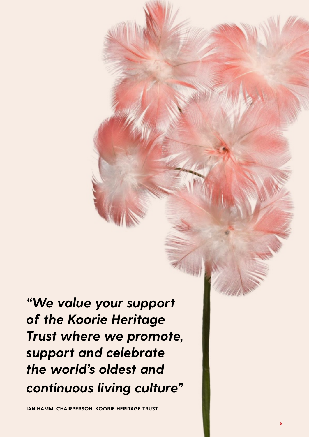*"We value your support of the Koorie Heritage Trust where we promote, support and celebrate the world's oldest and continuous living culture"*

**IAN HAMM, CHAIRPERSON, KOORIE HERITAGE TRUST**